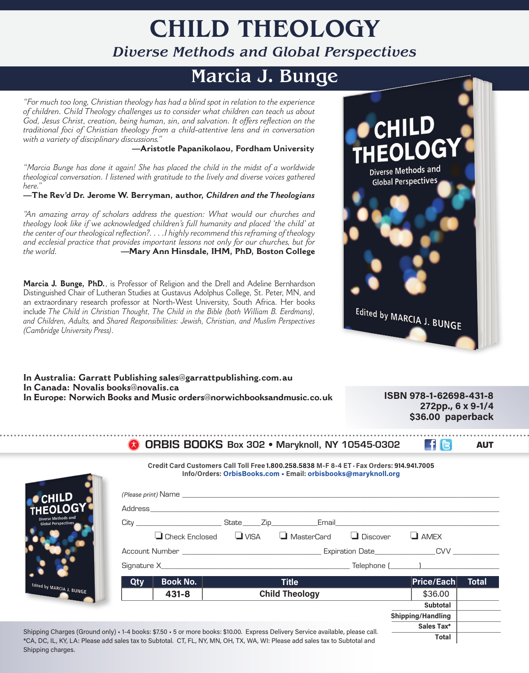## CHILD THEOLOGY *Diverse Methods and Global Perspectives*

## Marcia J. Bunge

*"For much too long, Christian theology has had a blind spot in relation to the experience of children. Child Theology challenges us to consider what children can teach us about God, Jesus Christ, creation, being human, sin, and salvation. It offers reflection on the traditional foci of Christian theology from a child-attentive lens and in conversation with a variety of disciplinary discussions."* 

**—Aristotle Papanikolaou, Fordham University**

*"Marcia Bunge has done it again! She has placed the child in the midst of a worldwide theological conversation. I listened with gratitude to the lively and diverse voices gathered here."*

**—The Rev'd Dr. Jerome W. Berryman, author,** *Children and the Theologians*

*"An amazing array of scholars address the question: What would our churches and theology look like if we acknowledged children's full humanity and placed 'the child' at the center of our theological reflection?. . . .I highly recommend this reframing of theology and ecclesial practice that provides important lessons not only for our churches, but for the world.* **—Mary Ann Hinsdale, IHM, PhD, Boston College**

**Marcia J. Bunge, PhD.**, is Professor of Religion and the Drell and Adeline Bernhardson Distinguished Chair of Lutheran Studies at Gustavus Adolphus College, St. Peter, MN, and an extraordinary research professor at North-West University, South Africa. Her books include *The Child in Christian Thought, The Child in the Bible (both William B. Eerdmans)*, *and Children, Adults,* and *Shared Responsibilities: Jewish, Christian, and Muslim Perspectives (Cambridge University Press).*



**In Australia: Garratt Publishing sales@garrattpublishing.com.au In Canada: Novalis books@novalis.ca In Europe: Norwich Books and Music orders@norwichbooksandmusic.co.uk**

ISBN 978-1-62698-431-8 272pp., 6 x 9-1/4 \$36.00 paperback

|                                                   | $(\star)$                                                                                                                                                  |  | ORBIS BOOKS Box 302 . Maryknoll, NY 10545-0302                      |  |                   | <b>AUT</b>   |  |
|---------------------------------------------------|------------------------------------------------------------------------------------------------------------------------------------------------------------|--|---------------------------------------------------------------------|--|-------------------|--------------|--|
|                                                   | Credit Card Customers Call Toll Free 1.800.258.5838 M-F 8-4 ET · Fax Orders: 914.941.7005<br>Info/Orders: OrbisBooks.com - Email: orbisbooks@maryknoll.org |  |                                                                     |  |                   |              |  |
| $\bullet$ CHILD                                   |                                                                                                                                                            |  |                                                                     |  |                   |              |  |
| <b>THEOLOGY</b>                                   |                                                                                                                                                            |  |                                                                     |  |                   |              |  |
| Diverse Methods and<br><b>Global Perspectives</b> |                                                                                                                                                            |  |                                                                     |  |                   |              |  |
|                                                   |                                                                                                                                                            |  | $\Box$ Check Enclosed $\Box$ VISA $\Box$ MasterCard $\Box$ Discover |  | $\Box$ AMEX       |              |  |
|                                                   |                                                                                                                                                            |  |                                                                     |  |                   |              |  |
|                                                   |                                                                                                                                                            |  |                                                                     |  |                   |              |  |
|                                                   | <b>Book No.</b><br>Qty                                                                                                                                     |  | <b>Title</b>                                                        |  | Price/Each        | <b>Total</b> |  |
| Edited by MARCIA J. BUNGE                         | $431 - 8$                                                                                                                                                  |  | <b>Child Theology</b>                                               |  | \$36.00           |              |  |
|                                                   |                                                                                                                                                            |  |                                                                     |  | <b>Subtotal</b>   |              |  |
|                                                   |                                                                                                                                                            |  |                                                                     |  | Shipping/Handling |              |  |
|                                                   | Shipping Charges (Ground only) - 1-4 books: \$7.50 - 5 or more books: \$10.00. Express Delivery Service available, please call.                            |  |                                                                     |  | Sales Tax*        |              |  |
|                                                   | *CA DC IL KY LA: Please add sales tay to Subtotal CT EL NY MN OH TX WA WI: Please add sales tay to Subtotal and                                            |  |                                                                     |  | <b>Total</b>      |              |  |

\*CA, DC, IL, KY, LA: Please add sales tax to Subtotal. CT, FL, NY, MN, OH, TX, WA, WI: Please add sales tax to Subtotal and Shipping charges.